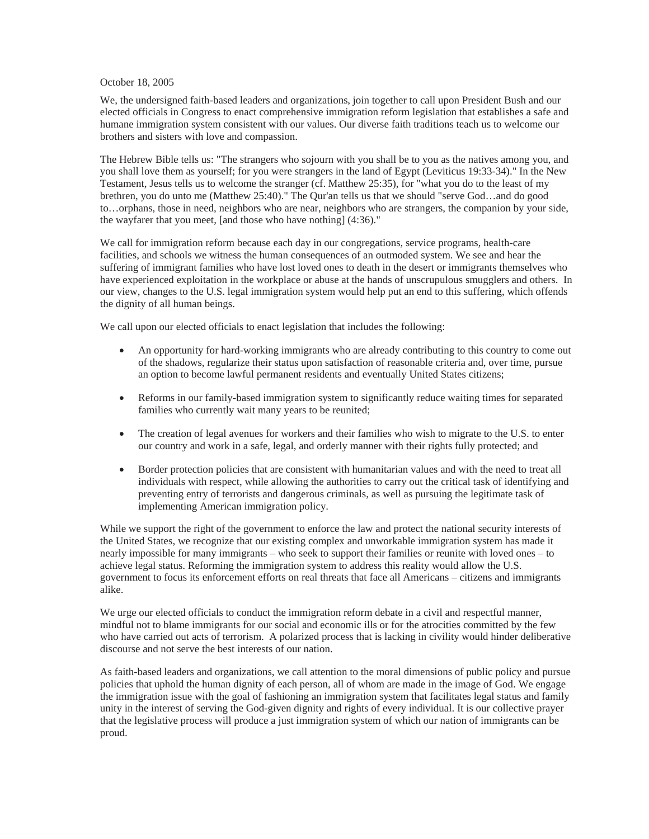## October 18, 2005

We, the undersigned faith-based leaders and organizations, join together to call upon President Bush and our elected officials in Congress to enact comprehensive immigration reform legislation that establishes a safe and humane immigration system consistent with our values. Our diverse faith traditions teach us to welcome our brothers and sisters with love and compassion.

The Hebrew Bible tells us: "The strangers who sojourn with you shall be to you as the natives among you, and you shall love them as yourself; for you were strangers in the land of Egypt (Leviticus 19:33-34)." In the New Testament, Jesus tells us to welcome the stranger (cf. Matthew 25:35), for "what you do to the least of my brethren, you do unto me (Matthew 25:40)." The Qur'an tells us that we should "serve God…and do good to…orphans, those in need, neighbors who are near, neighbors who are strangers, the companion by your side, the wayfarer that you meet, [and those who have nothing] (4:36)."

We call for immigration reform because each day in our congregations, service programs, health-care facilities, and schools we witness the human consequences of an outmoded system. We see and hear the suffering of immigrant families who have lost loved ones to death in the desert or immigrants themselves who have experienced exploitation in the workplace or abuse at the hands of unscrupulous smugglers and others. In our view, changes to the U.S. legal immigration system would help put an end to this suffering, which offends the dignity of all human beings.

We call upon our elected officials to enact legislation that includes the following:

- An opportunity for hard-working immigrants who are already contributing to this country to come out of the shadows, regularize their status upon satisfaction of reasonable criteria and, over time, pursue an option to become lawful permanent residents and eventually United States citizens;
- Reforms in our family-based immigration system to significantly reduce waiting times for separated families who currently wait many years to be reunited;
- The creation of legal avenues for workers and their families who wish to migrate to the U.S. to enter our country and work in a safe, legal, and orderly manner with their rights fully protected; and
- Border protection policies that are consistent with humanitarian values and with the need to treat all individuals with respect, while allowing the authorities to carry out the critical task of identifying and preventing entry of terrorists and dangerous criminals, as well as pursuing the legitimate task of implementing American immigration policy.

While we support the right of the government to enforce the law and protect the national security interests of the United States, we recognize that our existing complex and unworkable immigration system has made it nearly impossible for many immigrants – who seek to support their families or reunite with loved ones – to achieve legal status. Reforming the immigration system to address this reality would allow the U.S. government to focus its enforcement efforts on real threats that face all Americans – citizens and immigrants alike.

We urge our elected officials to conduct the immigration reform debate in a civil and respectful manner, mindful not to blame immigrants for our social and economic ills or for the atrocities committed by the few who have carried out acts of terrorism. A polarized process that is lacking in civility would hinder deliberative discourse and not serve the best interests of our nation.

As faith-based leaders and organizations, we call attention to the moral dimensions of public policy and pursue policies that uphold the human dignity of each person, all of whom are made in the image of God. We engage the immigration issue with the goal of fashioning an immigration system that facilitates legal status and family unity in the interest of serving the God-given dignity and rights of every individual. It is our collective prayer that the legislative process will produce a just immigration system of which our nation of immigrants can be proud.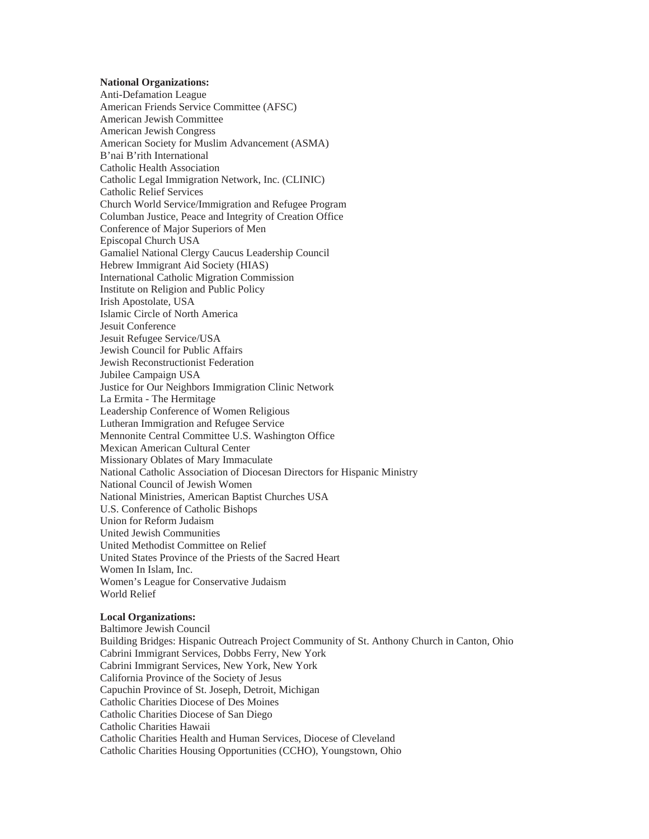## **National Organizations:**

Anti-Defamation League American Friends Service Committee (AFSC) American Jewish Committee American Jewish Congress American Society for Muslim Advancement (ASMA) B'nai B'rith International Catholic Health Association Catholic Legal Immigration Network, Inc. (CLINIC) Catholic Relief Services Church World Service/Immigration and Refugee Program Columban Justice, Peace and Integrity of Creation Office Conference of Major Superiors of Men Episcopal Church USA Gamaliel National Clergy Caucus Leadership Council Hebrew Immigrant Aid Society (HIAS) International Catholic Migration Commission Institute on Religion and Public Policy Irish Apostolate, USA Islamic Circle of North America Jesuit Conference Jesuit Refugee Service/USA Jewish Council for Public Affairs Jewish Reconstructionist Federation Jubilee Campaign USA Justice for Our Neighbors Immigration Clinic Network La Ermita - The Hermitage Leadership Conference of Women Religious Lutheran Immigration and Refugee Service Mennonite Central Committee U.S. Washington Office Mexican American Cultural Center Missionary Oblates of Mary Immaculate National Catholic Association of Diocesan Directors for Hispanic Ministry National Council of Jewish Women National Ministries, American Baptist Churches USA U.S. Conference of Catholic Bishops Union for Reform Judaism United Jewish Communities United Methodist Committee on Relief United States Province of the Priests of the Sacred Heart Women In Islam, Inc. Women's League for Conservative Judaism World Relief

## **Local Organizations:**

Baltimore Jewish Council Building Bridges: Hispanic Outreach Project Community of St. Anthony Church in Canton, Ohio Cabrini Immigrant Services, Dobbs Ferry, New York Cabrini Immigrant Services, New York, New York California Province of the Society of Jesus Capuchin Province of St. Joseph, Detroit, Michigan Catholic Charities Diocese of Des Moines Catholic Charities Diocese of San Diego Catholic Charities Hawaii Catholic Charities Health and Human Services, Diocese of Cleveland Catholic Charities Housing Opportunities (CCHO), Youngstown, Ohio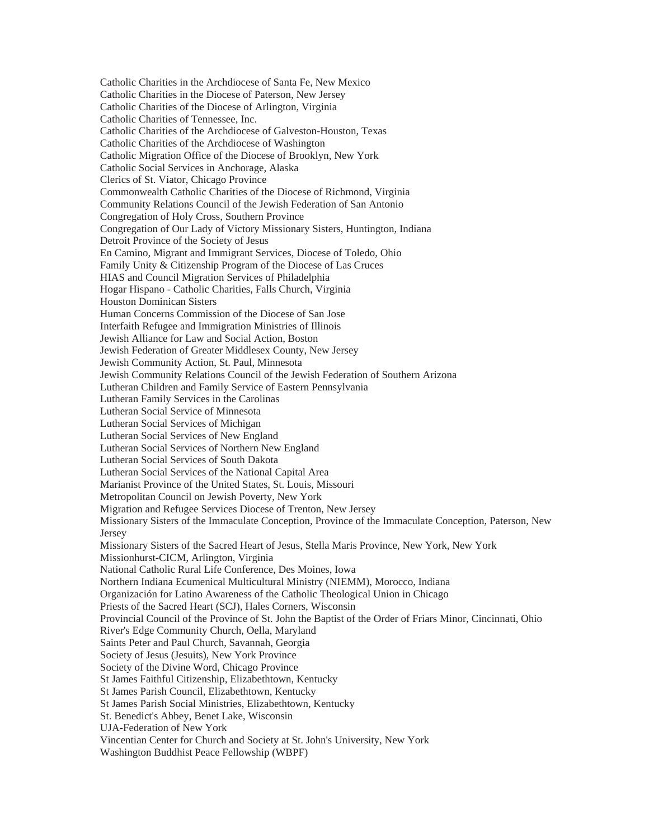Catholic Charities in the Archdiocese of Santa Fe, New Mexico Catholic Charities in the Diocese of Paterson, New Jersey Catholic Charities of the Diocese of Arlington, Virginia Catholic Charities of Tennessee, Inc. Catholic Charities of the Archdiocese of Galveston-Houston, Texas Catholic Charities of the Archdiocese of Washington Catholic Migration Office of the Diocese of Brooklyn, New York Catholic Social Services in Anchorage, Alaska Clerics of St. Viator, Chicago Province Commonwealth Catholic Charities of the Diocese of Richmond, Virginia Community Relations Council of the Jewish Federation of San Antonio Congregation of Holy Cross, Southern Province Congregation of Our Lady of Victory Missionary Sisters, Huntington, Indiana Detroit Province of the Society of Jesus En Camino, Migrant and Immigrant Services, Diocese of Toledo, Ohio Family Unity & Citizenship Program of the Diocese of Las Cruces HIAS and Council Migration Services of Philadelphia Hogar Hispano - Catholic Charities, Falls Church, Virginia Houston Dominican Sisters Human Concerns Commission of the Diocese of San Jose Interfaith Refugee and Immigration Ministries of Illinois Jewish Alliance for Law and Social Action, Boston Jewish Federation of Greater Middlesex County, New Jersey Jewish Community Action, St. Paul, Minnesota Jewish Community Relations Council of the Jewish Federation of Southern Arizona Lutheran Children and Family Service of Eastern Pennsylvania Lutheran Family Services in the Carolinas Lutheran Social Service of Minnesota Lutheran Social Services of Michigan Lutheran Social Services of New England Lutheran Social Services of Northern New England Lutheran Social Services of South Dakota Lutheran Social Services of the National Capital Area Marianist Province of the United States, St. Louis, Missouri Metropolitan Council on Jewish Poverty, New York Migration and Refugee Services Diocese of Trenton, New Jersey Missionary Sisters of the Immaculate Conception, Province of the Immaculate Conception, Paterson, New Jersey Missionary Sisters of the Sacred Heart of Jesus, Stella Maris Province, New York, New York Missionhurst-CICM, Arlington, Virginia National Catholic Rural Life Conference, Des Moines, Iowa Northern Indiana Ecumenical Multicultural Ministry (NIEMM), Morocco, Indiana Organización for Latino Awareness of the Catholic Theological Union in Chicago Priests of the Sacred Heart (SCJ), Hales Corners, Wisconsin Provincial Council of the Province of St. John the Baptist of the Order of Friars Minor, Cincinnati, Ohio River's Edge Community Church, Oella, Maryland Saints Peter and Paul Church, Savannah, Georgia Society of Jesus (Jesuits), New York Province Society of the Divine Word, Chicago Province St James Faithful Citizenship, Elizabethtown, Kentucky St James Parish Council, Elizabethtown, Kentucky St James Parish Social Ministries, Elizabethtown, Kentucky St. Benedict's Abbey, Benet Lake, Wisconsin UJA-Federation of New York Vincentian Center for Church and Society at St. John's University, New York Washington Buddhist Peace Fellowship (WBPF)